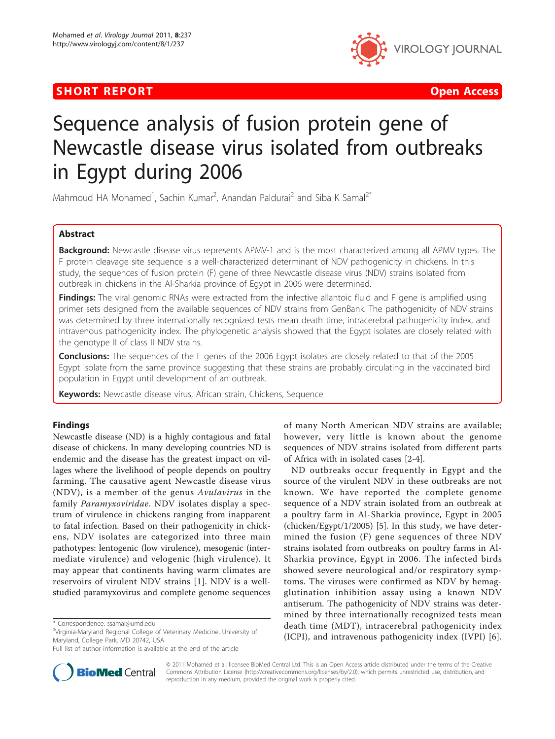## **SHORT REPORT CONSUMING THE CONSUMING THE CONSUMING THE CONSUMING THE CONSUMING THE CONSUMING THE CONSUMING THE CONSUMING THE CONSUMING THE CONSUMING THE CONSUMING THE CONSUMING THE CONSUMING THE CONSUMING THE CONSUMING TH**



# Sequence analysis of fusion protein gene of Newcastle disease virus isolated from outbreaks in Egypt during 2006

Mahmoud HA Mohamed<sup>1</sup>, Sachin Kumar<sup>2</sup>, Anandan Paldurai<sup>2</sup> and Siba K Samal<sup>2\*</sup>

## Abstract

**Background:** Newcastle disease virus represents APMV-1 and is the most characterized among all APMV types. The F protein cleavage site sequence is a well-characterized determinant of NDV pathogenicity in chickens. In this study, the sequences of fusion protein (F) gene of three Newcastle disease virus (NDV) strains isolated from outbreak in chickens in the Al-Sharkia province of Egypt in 2006 were determined.

Findings: The viral genomic RNAs were extracted from the infective allantoic fluid and F gene is amplified using primer sets designed from the available sequences of NDV strains from GenBank. The pathogenicity of NDV strains was determined by three internationally recognized tests mean death time, intracerebral pathogenicity index, and intravenous pathogenicity index. The phylogenetic analysis showed that the Egypt isolates are closely related with the genotype II of class II NDV strains.

**Conclusions:** The sequences of the F genes of the 2006 Egypt isolates are closely related to that of the 2005 Egypt isolate from the same province suggesting that these strains are probably circulating in the vaccinated bird population in Egypt until development of an outbreak.

Keywords: Newcastle disease virus, African strain, Chickens, Sequence

## Findings

Newcastle disease (ND) is a highly contagious and fatal disease of chickens. In many developing countries ND is endemic and the disease has the greatest impact on villages where the livelihood of people depends on poultry farming. The causative agent Newcastle disease virus (NDV), is a member of the genus Avulavirus in the family Paramyxoviridae. NDV isolates display a spectrum of virulence in chickens ranging from inapparent to fatal infection. Based on their pathogenicity in chickens, NDV isolates are categorized into three main pathotypes: lentogenic (low virulence), mesogenic (intermediate virulence) and velogenic (high virulence). It may appear that continents having warm climates are reservoirs of virulent NDV strains [\[1\]](#page-3-0). NDV is a wellstudied paramyxovirus and complete genome sequences

Full list of author information is available at the end of the article



of many North American NDV strains are available; however, very little is known about the genome sequences of NDV strains isolated from different parts of Africa with in isolated cases [\[2](#page-3-0)-[4\]](#page-3-0).

ND outbreaks occur frequently in Egypt and the source of the virulent NDV in these outbreaks are not known. We have reported the complete genome sequence of a NDV strain isolated from an outbreak at a poultry farm in Al-Sharkia province, Egypt in 2005 (chicken/Egypt/1/2005) [[5\]](#page-3-0). In this study, we have determined the fusion (F) gene sequences of three NDV strains isolated from outbreaks on poultry farms in Al-Sharkia province, Egypt in 2006. The infected birds showed severe neurological and/or respiratory symptoms. The viruses were confirmed as NDV by hemagglutination inhibition assay using a known NDV antiserum. The pathogenicity of NDV strains was determined by three internationally recognized tests mean death time (MDT), intracerebral pathogenicity index (ICPI), and intravenous pathogenicity index (IVPI) [[6](#page-3-0)].

© 2011 Mohamed et al; licensee BioMed Central Ltd. This is an Open Access article distributed under the terms of the Creative Commons Attribution License [\(http://creativecommons.org/licenses/by/2.0](http://creativecommons.org/licenses/by/2.0)), which permits unrestricted use, distribution, and reproduction in any medium, provided the original work is properly cited.

<sup>\*</sup> Correspondence: [ssamal@umd.edu](mailto:ssamal@umd.edu)

<sup>&</sup>lt;sup>2</sup>Virginia-Maryland Regional College of Veterinary Medicine, University of Maryland, College Park, MD 20742, USA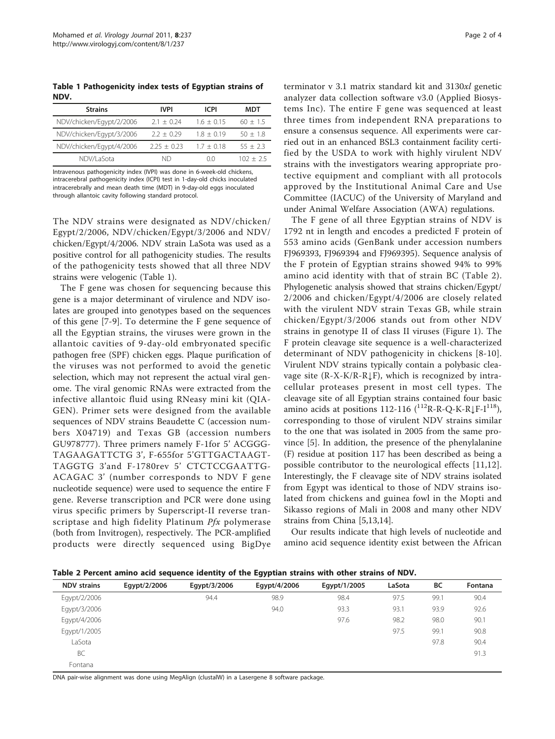Table 1 Pathogenicity index tests of Egyptian strains of NDV.

| <b>Strains</b>           | <b>IVPI</b>  | <b>ICPI</b>  | MDT        |  |
|--------------------------|--------------|--------------|------------|--|
| NDV/chicken/Egypt/2/2006 | $2.1 + 0.24$ | $1.6 + 0.15$ | $60 + 1.5$ |  |
| NDV/chicken/Eqypt/3/2006 | $2.2 + 0.29$ | $1.8 + 0.19$ | $50 + 1.8$ |  |
| NDV/chicken/Eqypt/4/2006 | $225 + 023$  | $1.7 + 0.18$ | $55 + 23$  |  |
| NDV/LaSota               | ND           | ററ           | $102 + 25$ |  |

Intravenous pathogenicity index (IVPI) was done in 6-week-old chickens, intracerebral pathogenicity index (ICPI) test in 1-day-old chicks inoculated intracerebrally and mean death time (MDT) in 9-day-old eggs inoculated through allantoic cavity following standard protocol.

The NDV strains were designated as NDV/chicken/ Egypt/2/2006, NDV/chicken/Egypt/3/2006 and NDV/ chicken/Egypt/4/2006. NDV strain LaSota was used as a positive control for all pathogenicity studies. The results of the pathogenicity tests showed that all three NDV strains were velogenic (Table 1).

The F gene was chosen for sequencing because this gene is a major determinant of virulence and NDV isolates are grouped into genotypes based on the sequences of this gene [[7-9\]](#page-3-0). To determine the F gene sequence of all the Egyptian strains, the viruses were grown in the allantoic cavities of 9-day-old embryonated specific pathogen free (SPF) chicken eggs. Plaque purification of the viruses was not performed to avoid the genetic selection, which may not represent the actual viral genome. The viral genomic RNAs were extracted from the infective allantoic fluid using RNeasy mini kit (QIA-GEN). Primer sets were designed from the available sequences of NDV strains Beaudette C (accession numbers [X04719\)](http://www.ncbi.nih.gov/entrez/query.fcgi?db=Nucleotide&cmd=search&term=X04719) and Texas GB (accession numbers [GU978777](http://www.ncbi.nih.gov/entrez/query.fcgi?db=Nucleotide&cmd=search&term=GU978777)). Three primers namely F-1for 5' ACGGG-TAGAAGATTCTG 3', F-655for 5'GTTGACTAAGT-TAGGTG 3'and F-1780rev 5' CTCTCCGAATTG-ACAGAC 3' (number corresponds to NDV F gene nucleotide sequence) were used to sequence the entire F gene. Reverse transcription and PCR were done using virus specific primers by Superscript-II reverse transcriptase and high fidelity Platinum *Pfx* polymerase (both from Invitrogen), respectively. The PCR-amplified products were directly sequenced using BigDye

terminator v 3.1 matrix standard kit and 3130xl genetic analyzer data collection software v3.0 (Applied Biosystems Inc). The entire F gene was sequenced at least three times from independent RNA preparations to ensure a consensus sequence. All experiments were carried out in an enhanced BSL3 containment facility certified by the USDA to work with highly virulent NDV strains with the investigators wearing appropriate protective equipment and compliant with all protocols approved by the Institutional Animal Care and Use Committee (IACUC) of the University of Maryland and under Animal Welfare Association (AWA) regulations.

The F gene of all three Egyptian strains of NDV is 1792 nt in length and encodes a predicted F protein of 553 amino acids (GenBank under accession numbers [FJ969393](http://www.ncbi.nih.gov/entrez/query.fcgi?db=Nucleotide&cmd=search&term=FJ969393), [FJ969394](http://www.ncbi.nih.gov/entrez/query.fcgi?db=Nucleotide&cmd=search&term=FJ969394) and [FJ969395](http://www.ncbi.nih.gov/entrez/query.fcgi?db=Nucleotide&cmd=search&term=FJ969395)). Sequence analysis of the F protein of Egyptian strains showed 94% to 99% amino acid identity with that of strain BC (Table 2). Phylogenetic analysis showed that strains chicken/Egypt/ 2/2006 and chicken/Egypt/4/2006 are closely related with the virulent NDV strain Texas GB, while strain chicken/Egypt/3/2006 stands out from other NDV strains in genotype II of class II viruses (Figure [1](#page-2-0)). The F protein cleavage site sequence is a well-characterized determinant of NDV pathogenicity in chickens [[8](#page-3-0)-[10](#page-3-0)]. Virulent NDV strains typically contain a polybasic cleavage site  $(R-X-K/R-R\downarrow F)$ , which is recognized by intracellular proteases present in most cell types. The cleavage site of all Egyptian strains contained four basic amino acids at positions 112-116 ( $^{112}R-R-Q-K-R\downarrow F-I^{118}$ ), corresponding to those of virulent NDV strains similar to the one that was isolated in 2005 from the same province [[5\]](#page-3-0). In addition, the presence of the phenylalanine (F) residue at position 117 has been described as being a possible contributor to the neurological effects [[11,12](#page-3-0)]. Interestingly, the F cleavage site of NDV strains isolated from Egypt was identical to those of NDV strains isolated from chickens and guinea fowl in the Mopti and Sikasso regions of Mali in 2008 and many other NDV strains from China [\[5,13,14\]](#page-3-0).

Our results indicate that high levels of nucleotide and amino acid sequence identity exist between the African

Table 2 Percent amino acid sequence identity of the Egyptian strains with other strains of NDV.

| <b>NDV</b> strains | Eqypt/2/2006 | Eqypt/3/2006 | Eqypt/4/2006 | Eqypt/1/2005 | LaSota | BC   | Fontana |
|--------------------|--------------|--------------|--------------|--------------|--------|------|---------|
| Egypt/2/2006       |              | 94.4         | 98.9         | 98.4         | 97.5   | 99.1 | 90.4    |
| Egypt/3/2006       |              |              | 94.0         | 93.3         | 93.1   | 93.9 | 92.6    |
| Egypt/4/2006       |              |              |              | 97.6         | 98.2   | 98.0 | 90.1    |
| Eqypt/1/2005       |              |              |              |              | 97.5   | 99.1 | 90.8    |
| LaSota             |              |              |              |              |        | 97.8 | 90.4    |
| BC                 |              |              |              |              |        |      | 91.3    |
| Fontana            |              |              |              |              |        |      |         |

DNA pair-wise alignment was done using MegAlign (clustalW) in a Lasergene 8 software package.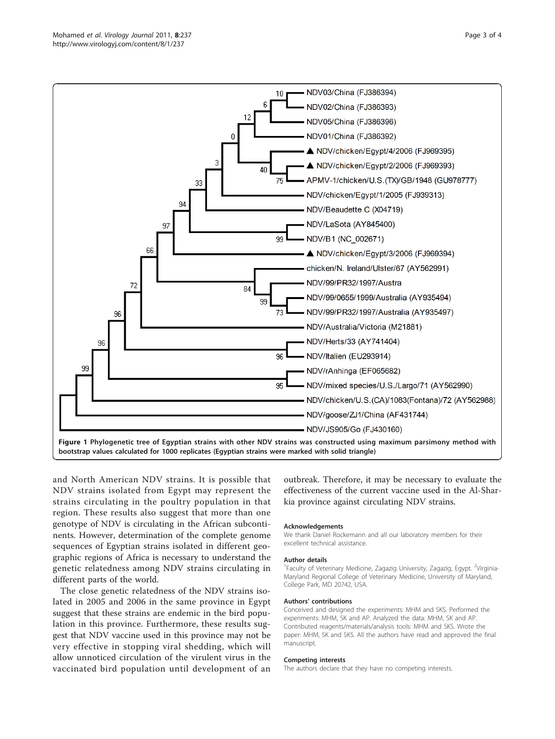<span id="page-2-0"></span>

and North American NDV strains. It is possible that NDV strains isolated from Egypt may represent the strains circulating in the poultry population in that region. These results also suggest that more than one genotype of NDV is circulating in the African subcontinents. However, determination of the complete genome sequences of Egyptian strains isolated in different geographic regions of Africa is necessary to understand the genetic relatedness among NDV strains circulating in different parts of the world.

The close genetic relatedness of the NDV strains isolated in 2005 and 2006 in the same province in Egypt suggest that these strains are endemic in the bird population in this province. Furthermore, these results suggest that NDV vaccine used in this province may not be very effective in stopping viral shedding, which will allow unnoticed circulation of the virulent virus in the vaccinated bird population until development of an

outbreak. Therefore, it may be necessary to evaluate the effectiveness of the current vaccine used in the Al-Sharkia province against circulating NDV strains.

#### Acknowledgements

We thank Daniel Rockemann and all our laboratory members for their excellent technical assistance.

#### Author details

<sup>1</sup> Faculty of Veterinary Medicine, Zagazig University, Zagazig, Egypt. <sup>2</sup>Virginia-Maryland Regional College of Veterinary Medicine, University of Maryland, College Park, MD 20742, USA.

#### Authors' contributions

Conceived and designed the experiments: MHM and SKS. Performed the experiments: MHM, SK and AP. Analyzed the data: MHM, SK and AP. Contributed reagents/materials/analysis tools: MHM and SKS. Wrote the paper: MHM, SK and SKS. All the authors have read and approved the final manuscript.

#### Competing interests

The authors declare that they have no competing interests.